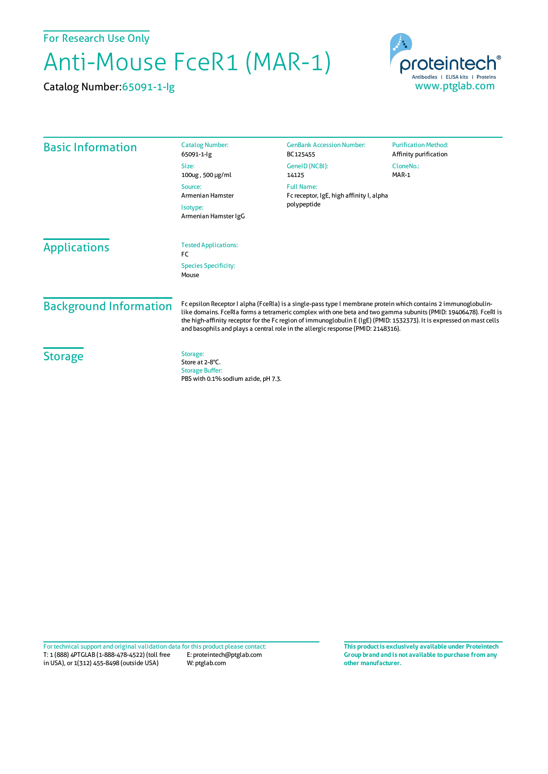For Research Use Only

## Anti-Mouse FceR1 (MAR-1)

Catalog Number:65091-1-Ig



| <b>Basic Information</b>             | <b>Catalog Number:</b>                                                                                                                                                                                                                                                                                                                                                                                                                         | <b>GenBank Accession Number:</b>                                             | <b>Purification Method:</b> |
|--------------------------------------|------------------------------------------------------------------------------------------------------------------------------------------------------------------------------------------------------------------------------------------------------------------------------------------------------------------------------------------------------------------------------------------------------------------------------------------------|------------------------------------------------------------------------------|-----------------------------|
|                                      | 65091-1-lg                                                                                                                                                                                                                                                                                                                                                                                                                                     | BC125455                                                                     | Affinity purification       |
|                                      | Size:                                                                                                                                                                                                                                                                                                                                                                                                                                          | GeneID (NCBI):                                                               | CloneNo.:                   |
|                                      | 100ug, 500 µg/ml                                                                                                                                                                                                                                                                                                                                                                                                                               | 14125                                                                        | MAR-1                       |
|                                      | Source:<br><b>Armenian Hamster</b><br>Isotype:<br>Armenian Hamster IgG                                                                                                                                                                                                                                                                                                                                                                         | <b>Full Name:</b><br>Fc receptor, IgE, high affinity I, alpha<br>polypeptide |                             |
|                                      |                                                                                                                                                                                                                                                                                                                                                                                                                                                |                                                                              |                             |
|                                      |                                                                                                                                                                                                                                                                                                                                                                                                                                                |                                                                              |                             |
| <b>Species Specificity:</b><br>Mouse |                                                                                                                                                                                                                                                                                                                                                                                                                                                |                                                                              |                             |
| <b>Background Information</b>        | Fc epsilon Receptor I alpha (FceRIa) is a single-pass type I membrane protein which contains 2 immunoglobulin-<br>like domains. FceRla forms a tetrameric complex with one beta and two gamma subunits (PMID: 19406478). FceRl is<br>the high-affinity receptor for the Fc region of immunoglobulin E (IgE) (PMID: 1532373). It is expressed on mast cells<br>and basophils and plays a central role in the allergic response (PMID: 2148316). |                                                                              |                             |
| <b>Storage</b>                       | Storage:<br>Store at 2-8°C.<br><b>Storage Buffer:</b><br>PBS with 0.1% sodium azide, pH 7.3.                                                                                                                                                                                                                                                                                                                                                   |                                                                              |                             |

T: 1 (888) 4PTGLAB (1-888-478-4522) (toll free in USA), or 1(312) 455-8498 (outside USA) E: proteintech@ptglab.com W: ptglab.com Fortechnical support and original validation data forthis product please contact: **This productis exclusively available under Proteintech**

**Group brand and is not available to purchase from any other manufacturer.**